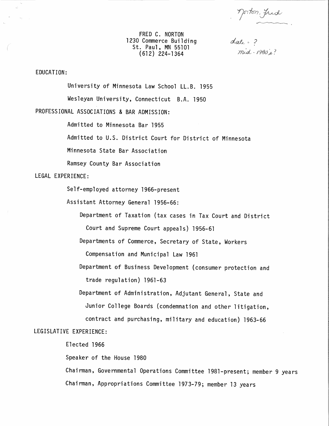Morton, Jud

FRED C. NORTON 1230 Commerce Building St. Paul, MN 55101 (612) 224-1364

date = ?<br>mid-1980's?

## EDUCATION:

University of Minnesota Law School LL.B. 1955 Wesleyan University, Connecticut B.A. 1950

PROFESSIONAL ASSOCIATIONS & BAR ADMISSION:

Admitted to Minnesota Bar 1955

Admitted to U.S. District Court for District of Minnesota

Minnesota State Bar Association

Ramsey County Bar Association

## LEGAL EXPERIENCE:

Self-employed attorney 1966-present

Assistant Attorney General 1956-66:

Department of Taxation (tax cases in Tax Court and District Court and Supreme Court appeals) 1956-61

Departments of Commerce, Secretary of State, Workers

Compensation and Municipal Law 1961

Department of Business Development (consumer protection and trade regulation) 1961-63

Department of Administration, Adjutant General, State and Junior College Boards (condemnation and other litigation, contract and purchasing, military and education) 1963-66

## LEGISLATIVE EXPERIENCE:

Elected 1966

Speaker of the House 1980

Chairman, Governmental Operations Committee 1981-present; member 9 years Chairman, Appropriations Committee 1973-79; member 13 years